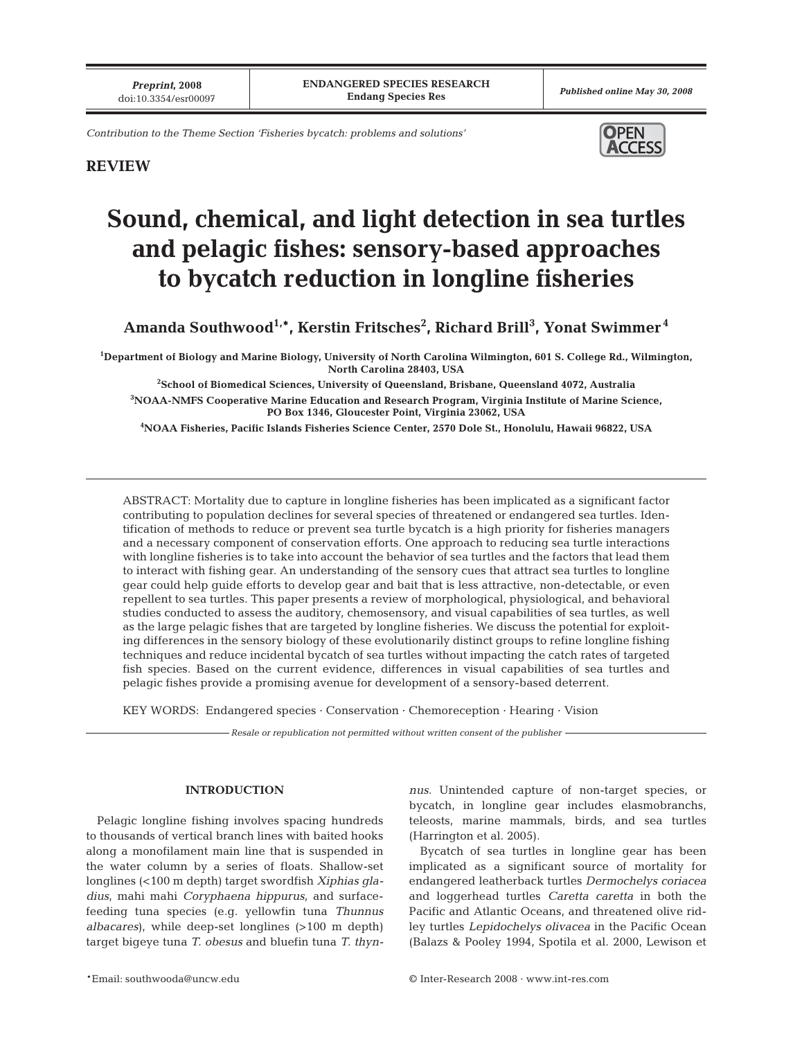*Contribution to the Theme Section 'Fisheries bycatch: problems and solutions'*



# **REVIEW**

# **Sound, chemical, and light detection in sea turtles and pelagic fishes: sensory-based approaches to bycatch reduction in longline fisheries**

 $\boldsymbol{\mathrm{A}}$ manda Southwood $^{1,*}$ , Kerstin Fritsches $^2$ , Richard Brill $^3$ , Yonat Swimmer $^4$ 

**1 Department of Biology and Marine Biology, University of North Carolina Wilmington, 601 S. College Rd., Wilmington, North Carolina 28403, USA**

**2 School of Biomedical Sciences, University of Queensland, Brisbane, Queensland 4072, Australia 3 NOAA-NMFS Cooperative Marine Education and Research Program, Virginia Institute of Marine Science, PO Box 1346, Gloucester Point, Virginia 23062, USA**

**4 NOAA Fisheries, Pacific Islands Fisheries Science Center, 2570 Dole St., Honolulu, Hawaii 96822, USA**

ABSTRACT: Mortality due to capture in longline fisheries has been implicated as a significant factor contributing to population declines for several species of threatened or endangered sea turtles. Identification of methods to reduce or prevent sea turtle bycatch is a high priority for fisheries managers and a necessary component of conservation efforts. One approach to reducing sea turtle interactions with longline fisheries is to take into account the behavior of sea turtles and the factors that lead them to interact with fishing gear. An understanding of the sensory cues that attract sea turtles to longline gear could help guide efforts to develop gear and bait that is less attractive, non-detectable, or even repellent to sea turtles. This paper presents a review of morphological, physiological, and behavioral studies conducted to assess the auditory, chemosensory, and visual capabilities of sea turtles, as well as the large pelagic fishes that are targeted by longline fisheries. We discuss the potential for exploiting differences in the sensory biology of these evolutionarily distinct groups to refine longline fishing techniques and reduce incidental bycatch of sea turtles without impacting the catch rates of targeted fish species. Based on the current evidence, differences in visual capabilities of sea turtles and pelagic fishes provide a promising avenue for development of a sensory-based deterrent.

KEY WORDS: Endangered species · Conservation · Chemoreception · Hearing · Vision

*Resale or republication not permitted without written consent of the publisher*

#### **INTRODUCTION**

Pelagic longline fishing involves spacing hundreds to thousands of vertical branch lines with baited hooks along a monofilament main line that is suspended in the water column by a series of floats. Shallow-set longlines (<100 m depth) target swordfish *Xiphias gladius*, mahi mahi *Coryphaena hippurus*, and surfacefeeding tuna species (e.g. yellowfin tuna *Thunnus albacares*), while deep-set longlines (>100 m depth) target bigeye tuna *T. obesus* and bluefin tuna *T. thyn-* *nus*. Unintended capture of non-target species, or bycatch, in longline gear includes elasmobranchs, teleosts, marine mammals, birds, and sea turtles (Harrington et al. 2005).

Bycatch of sea turtles in longline gear has been implicated as a significant source of mortality for endangered leatherback turtles *Dermochelys coriacea* and loggerhead turtles *Caretta caretta* in both the Pacific and Atlantic Oceans, and threatened olive ridley turtles *Lepidochelys olivacea* in the Pacific Ocean (Balazs & Pooley 1994, Spotila et al. 2000, Lewison et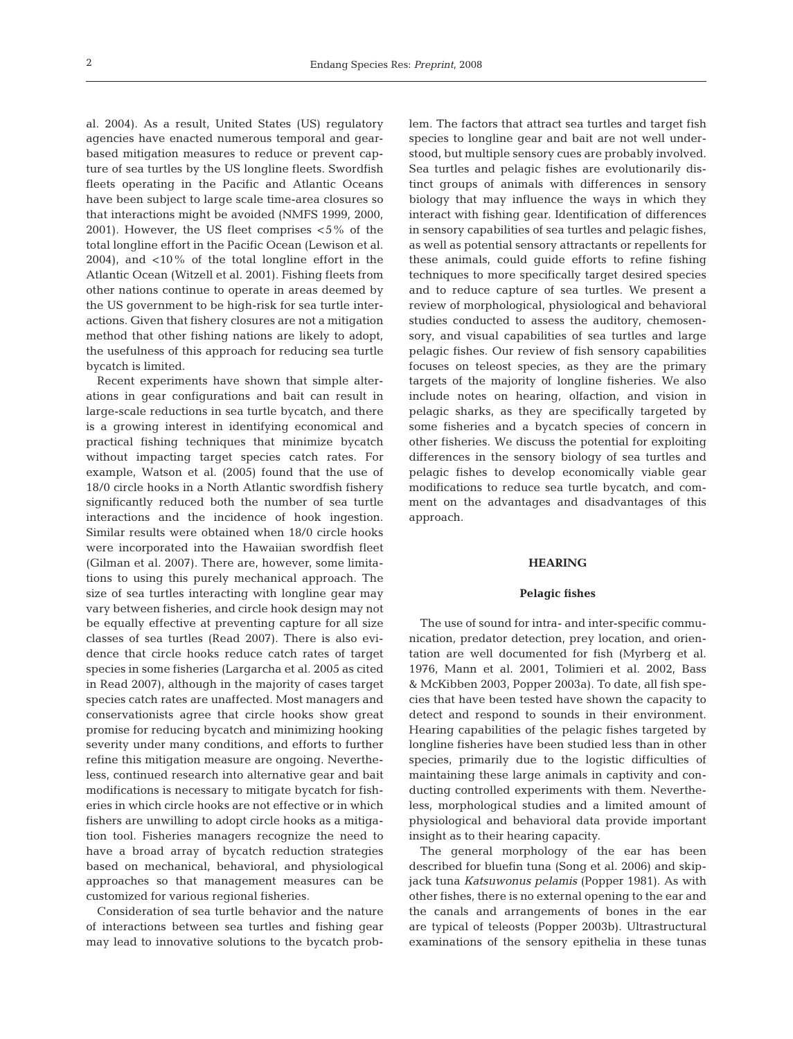al. 2004). As a result, United States (US) regulatory agencies have enacted numerous temporal and gearbased mitigation measures to reduce or prevent capture of sea turtles by the US longline fleets. Swordfish fleets operating in the Pacific and Atlantic Oceans have been subject to large scale time-area closures so that interactions might be avoided (NMFS 1999, 2000, 2001). However, the US fleet comprises <5% of the total longline effort in the Pacific Ocean (Lewison et al. 2004), and <10% of the total longline effort in the Atlantic Ocean (Witzell et al. 2001). Fishing fleets from other nations continue to operate in areas deemed by the US government to be high-risk for sea turtle interactions. Given that fishery closures are not a mitigation method that other fishing nations are likely to adopt, the usefulness of this approach for reducing sea turtle bycatch is limited.

Recent experiments have shown that simple alterations in gear configurations and bait can result in large-scale reductions in sea turtle bycatch, and there is a growing interest in identifying economical and practical fishing techniques that minimize bycatch without impacting target species catch rates. For example, Watson et al. (2005) found that the use of 18/0 circle hooks in a North Atlantic swordfish fishery significantly reduced both the number of sea turtle interactions and the incidence of hook ingestion. Similar results were obtained when 18/0 circle hooks were incorporated into the Hawaiian swordfish fleet (Gilman et al. 2007). There are, however, some limitations to using this purely mechanical approach. The size of sea turtles interacting with longline gear may vary between fisheries, and circle hook design may not be equally effective at preventing capture for all size classes of sea turtles (Read 2007). There is also evidence that circle hooks reduce catch rates of target species in some fisheries (Largarcha et al. 2005 as cited in Read 2007), although in the majority of cases target species catch rates are unaffected. Most managers and conservationists agree that circle hooks show great promise for reducing bycatch and minimizing hooking severity under many conditions, and efforts to further refine this mitigation measure are ongoing. Nevertheless, continued research into alternative gear and bait modifications is necessary to mitigate bycatch for fisheries in which circle hooks are not effective or in which fishers are unwilling to adopt circle hooks as a mitigation tool. Fisheries managers recognize the need to have a broad array of bycatch reduction strategies based on mechanical, behavioral, and physiological approaches so that management measures can be customized for various regional fisheries.

Consideration of sea turtle behavior and the nature of interactions between sea turtles and fishing gear may lead to innovative solutions to the bycatch problem. The factors that attract sea turtles and target fish species to longline gear and bait are not well understood, but multiple sensory cues are probably involved. Sea turtles and pelagic fishes are evolutionarily distinct groups of animals with differences in sensory biology that may influence the ways in which they interact with fishing gear. Identification of differences in sensory capabilities of sea turtles and pelagic fishes, as well as potential sensory attractants or repellents for these animals, could guide efforts to refine fishing techniques to more specifically target desired species and to reduce capture of sea turtles. We present a review of morphological, physiological and behavioral studies conducted to assess the auditory, chemosensory, and visual capabilities of sea turtles and large pelagic fishes. Our review of fish sensory capabilities focuses on teleost species, as they are the primary targets of the majority of longline fisheries. We also include notes on hearing, olfaction, and vision in pelagic sharks, as they are specifically targeted by some fisheries and a bycatch species of concern in other fisheries. We discuss the potential for exploiting differences in the sensory biology of sea turtles and pelagic fishes to develop economically viable gear modifications to reduce sea turtle bycatch, and comment on the advantages and disadvantages of this approach.

# **HEARING**

#### **Pelagic fishes**

The use of sound for intra- and inter-specific communication, predator detection, prey location, and orientation are well documented for fish (Myrberg et al. 1976, Mann et al. 2001, Tolimieri et al. 2002, Bass & McKibben 2003, Popper 2003a). To date, all fish species that have been tested have shown the capacity to detect and respond to sounds in their environment. Hearing capabilities of the pelagic fishes targeted by longline fisheries have been studied less than in other species, primarily due to the logistic difficulties of maintaining these large animals in captivity and conducting controlled experiments with them. Nevertheless, morphological studies and a limited amount of physiological and behavioral data provide important insight as to their hearing capacity.

The general morphology of the ear has been described for bluefin tuna (Song et al. 2006) and skipjack tuna *Katsuwonus pelamis* (Popper 1981). As with other fishes, there is no external opening to the ear and the canals and arrangements of bones in the ear are typical of teleosts (Popper 2003b). Ultrastructural examinations of the sensory epithelia in these tunas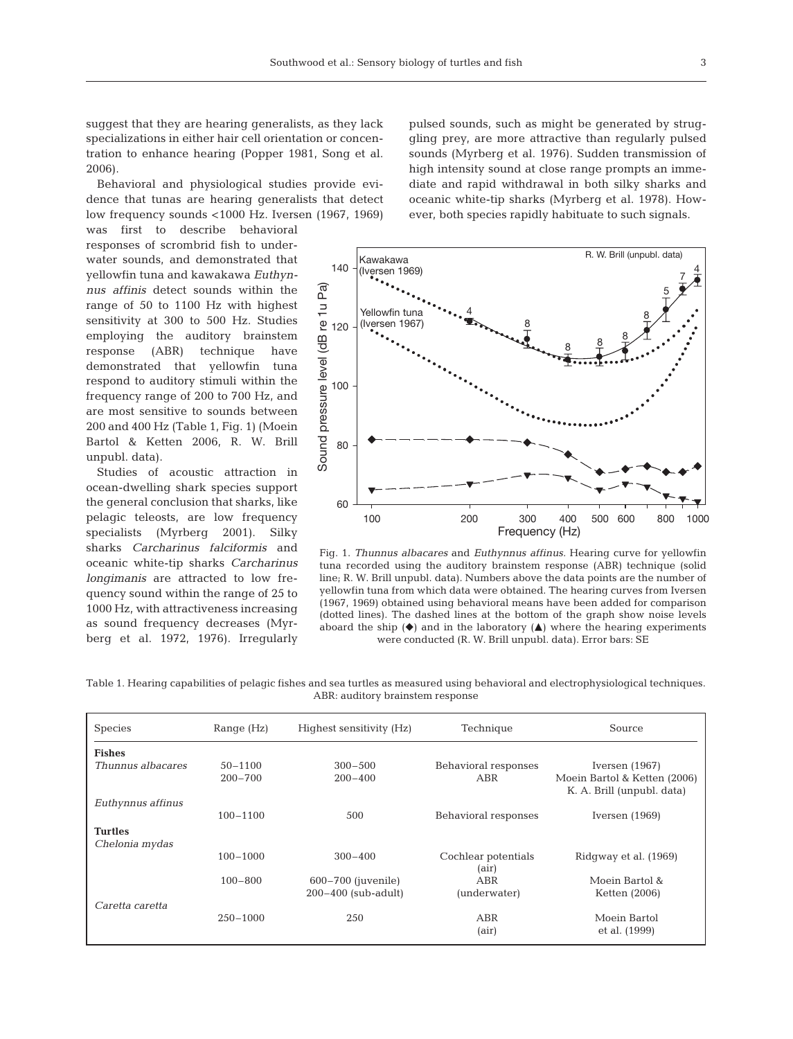suggest that they are hearing generalists, as they lack specializations in either hair cell orientation or concentration to enhance hearing (Popper 1981, Song et al. 2006).

Behavioral and physiological studies provide evidence that tunas are hearing generalists that detect low frequency sounds <1000 Hz. Iversen (1967, 1969)

was first to describe behavioral responses of scrombrid fish to underwater sounds, and demonstrated that yellowfin tuna and kawakawa *Euthynnus affinis* detect sounds within the range of 50 to 1100 Hz with highest sensitivity at 300 to 500 Hz. Studies employing the auditory brainstem response (ABR) technique have demonstrated that yellowfin tuna respond to auditory stimuli within the frequency range of 200 to 700 Hz, and are most sensitive to sounds between 200 and 400 Hz (Table 1, Fig. 1) (Moein Bartol & Ketten 2006, R. W. Brill unpubl. data).

Studies of acoustic attraction in ocean-dwelling shark species support the general conclusion that sharks, like pelagic teleosts, are low frequency specialists (Myrberg 2001). Silky sharks *Carcharinus falciformis* and oceanic white-tip sharks *Carcharinus longimanis* are attracted to low frequency sound within the range of 25 to 1000 Hz, with attractiveness increasing as sound frequency decreases (Myrberg et al. 1972, 1976). Irregularly pulsed sounds, such as might be generated by struggling prey, are more attractive than regularly pulsed sounds (Myrberg et al. 1976). Sudden transmission of high intensity sound at close range prompts an immediate and rapid withdrawal in both silky sharks and oceanic white-tip sharks (Myrberg et al. 1978). However, both species rapidly habituate to such signals.



Fig. 1. *Thunnus albacares* and *Euthynnus affinus.* Hearing curve for yellowfin tuna recorded using the auditory brainstem response (ABR) technique (solid line; R. W. Brill unpubl. data). Numbers above the data points are the number of yellowfin tuna from which data were obtained. The hearing curves from Iversen (1967, 1969) obtained using behavioral means have been added for comparison (dotted lines). The dashed lines at the bottom of the graph show noise levels aboard the ship  $(\blacklozenge)$  and in the laboratory  $(\blacktriangle)$  where the hearing experiments were conducted (R. W. Brill unpubl. data). Error bars: SE

Table 1. Hearing capabilities of pelagic fishes and sea turtles as measured using behavioral and electrophysiological techniques. ABR: auditory brainstem response

| <b>Species</b>                   | Range $(Hz)$ | Highest sensitivity (Hz) | Technique                    | Source                                                     |
|----------------------------------|--------------|--------------------------|------------------------------|------------------------------------------------------------|
| <b>Fishes</b>                    |              |                          |                              |                                                            |
| Thunnus albacares                | $50 - 1100$  | $300 - 500$              | Behavioral responses         | Iversen $(1967)$                                           |
|                                  | $200 - 700$  | $200 - 400$              | ABR                          | Moein Bartol & Ketten (2006)<br>K. A. Brill (unpubl. data) |
| Euthynnus affinus                |              |                          |                              |                                                            |
|                                  | $100 - 1100$ | 500                      | Behavioral responses         | Iversen $(1969)$                                           |
| <b>Turtles</b><br>Chelonia mydas |              |                          |                              |                                                            |
|                                  | $100 - 1000$ | $300 - 400$              | Cochlear potentials<br>(air) | Ridgway et al. (1969)                                      |
|                                  | $100 - 800$  | $600 - 700$ (juvenile)   | ABR                          | Moein Bartol &                                             |
|                                  |              | $200-400$ (sub-adult)    | (underwater)                 | Ketten (2006)                                              |
| Caretta caretta                  |              |                          |                              |                                                            |
|                                  | $250 - 1000$ | 250                      | ABR                          | Moein Bartol                                               |
|                                  |              |                          | (air)                        | et al. (1999)                                              |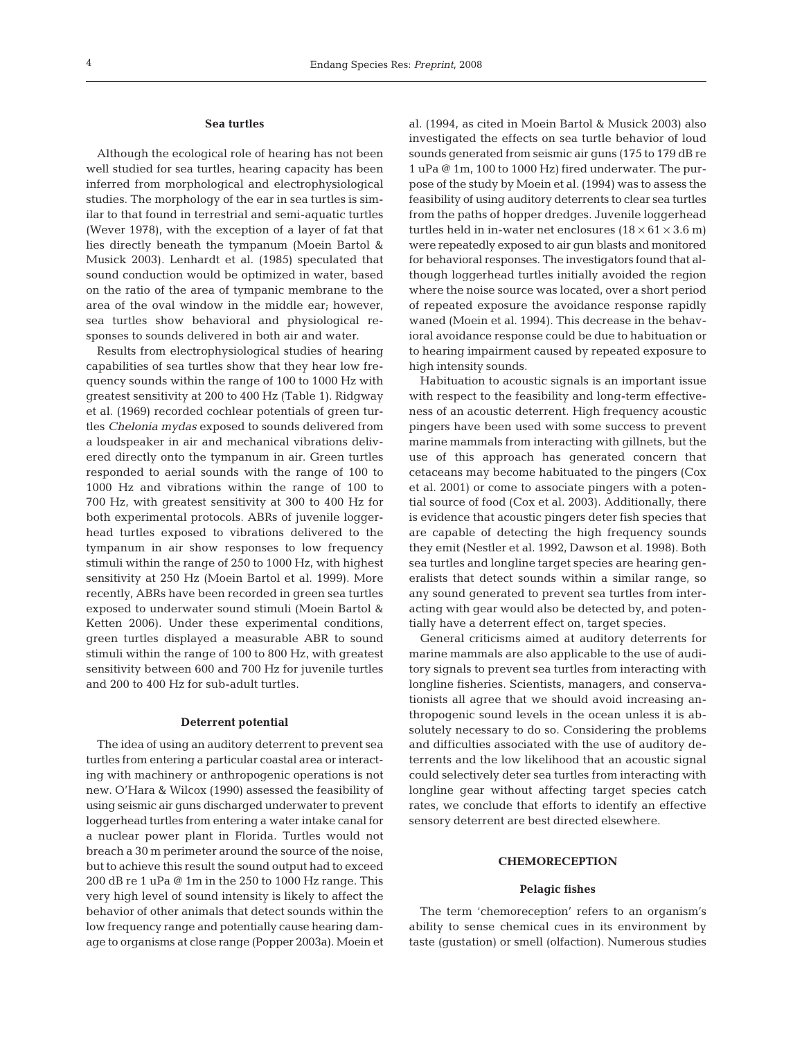## **Sea turtles**

Although the ecological role of hearing has not been well studied for sea turtles, hearing capacity has been inferred from morphological and electrophysiological studies. The morphology of the ear in sea turtles is similar to that found in terrestrial and semi-aquatic turtles (Wever 1978), with the exception of a layer of fat that lies directly beneath the tympanum (Moein Bartol & Musick 2003). Lenhardt et al. (1985) speculated that sound conduction would be optimized in water, based on the ratio of the area of tympanic membrane to the area of the oval window in the middle ear; however, sea turtles show behavioral and physiological responses to sounds delivered in both air and water.

Results from electrophysiological studies of hearing capabilities of sea turtles show that they hear low frequency sounds within the range of 100 to 1000 Hz with greatest sensitivity at 200 to 400 Hz (Table 1). Ridgway et al. (1969) recorded cochlear potentials of green turtles *Chelonia mydas* exposed to sounds delivered from a loudspeaker in air and mechanical vibrations delivered directly onto the tympanum in air. Green turtles responded to aerial sounds with the range of 100 to 1000 Hz and vibrations within the range of 100 to 700 Hz, with greatest sensitivity at 300 to 400 Hz for both experimental protocols. ABRs of juvenile loggerhead turtles exposed to vibrations delivered to the tympanum in air show responses to low frequency stimuli within the range of 250 to 1000 Hz, with highest sensitivity at 250 Hz (Moein Bartol et al. 1999). More recently, ABRs have been recorded in green sea turtles exposed to underwater sound stimuli (Moein Bartol & Ketten 2006). Under these experimental conditions, green turtles displayed a measurable ABR to sound stimuli within the range of 100 to 800 Hz, with greatest sensitivity between 600 and 700 Hz for juvenile turtles and 200 to 400 Hz for sub-adult turtles.

#### **Deterrent potential**

The idea of using an auditory deterrent to prevent sea turtles from entering a particular coastal area or interacting with machinery or anthropogenic operations is not new. O'Hara & Wilcox (1990) assessed the feasibility of using seismic air guns discharged underwater to prevent loggerhead turtles from entering a water intake canal for a nuclear power plant in Florida. Turtles would not breach a 30 m perimeter around the source of the noise, but to achieve this result the sound output had to exceed 200 dB re 1 uPa @ 1m in the 250 to 1000 Hz range. This very high level of sound intensity is likely to affect the behavior of other animals that detect sounds within the low frequency range and potentially cause hearing damage to organisms at close range (Popper 2003a). Moein et al. (1994, as cited in Moein Bartol & Musick 2003) also investigated the effects on sea turtle behavior of loud sounds generated from seismic air guns (175 to 179 dB re 1 uPa @ 1m, 100 to 1000 Hz) fired underwater. The purpose of the study by Moein et al. (1994) was to assess the feasibility of using auditory deterrents to clear sea turtles from the paths of hopper dredges. Juvenile loggerhead turtles held in in-water net enclosures  $(18 \times 61 \times 3.6 \text{ m})$ were repeatedly exposed to air gun blasts and monitored for behavioral responses. The investigators found that although loggerhead turtles initially avoided the region where the noise source was located, over a short period of repeated exposure the avoidance response rapidly waned (Moein et al. 1994). This decrease in the behavioral avoidance response could be due to habituation or to hearing impairment caused by repeated exposure to high intensity sounds.

Habituation to acoustic signals is an important issue with respect to the feasibility and long-term effectiveness of an acoustic deterrent. High frequency acoustic pingers have been used with some success to prevent marine mammals from interacting with gillnets, but the use of this approach has generated concern that cetaceans may become habituated to the pingers (Cox et al. 2001) or come to associate pingers with a potential source of food (Cox et al. 2003). Additionally, there is evidence that acoustic pingers deter fish species that are capable of detecting the high frequency sounds they emit (Nestler et al. 1992, Dawson et al. 1998). Both sea turtles and longline target species are hearing generalists that detect sounds within a similar range, so any sound generated to prevent sea turtles from interacting with gear would also be detected by, and potentially have a deterrent effect on, target species.

General criticisms aimed at auditory deterrents for marine mammals are also applicable to the use of auditory signals to prevent sea turtles from interacting with longline fisheries. Scientists, managers, and conservationists all agree that we should avoid increasing anthropogenic sound levels in the ocean unless it is absolutely necessary to do so. Considering the problems and difficulties associated with the use of auditory deterrents and the low likelihood that an acoustic signal could selectively deter sea turtles from interacting with longline gear without affecting target species catch rates, we conclude that efforts to identify an effective sensory deterrent are best directed elsewhere.

# **CHEMORECEPTION**

### **Pelagic fishes**

The term 'chemoreception' refers to an organism's ability to sense chemical cues in its environment by taste (gustation) or smell (olfaction). Numerous studies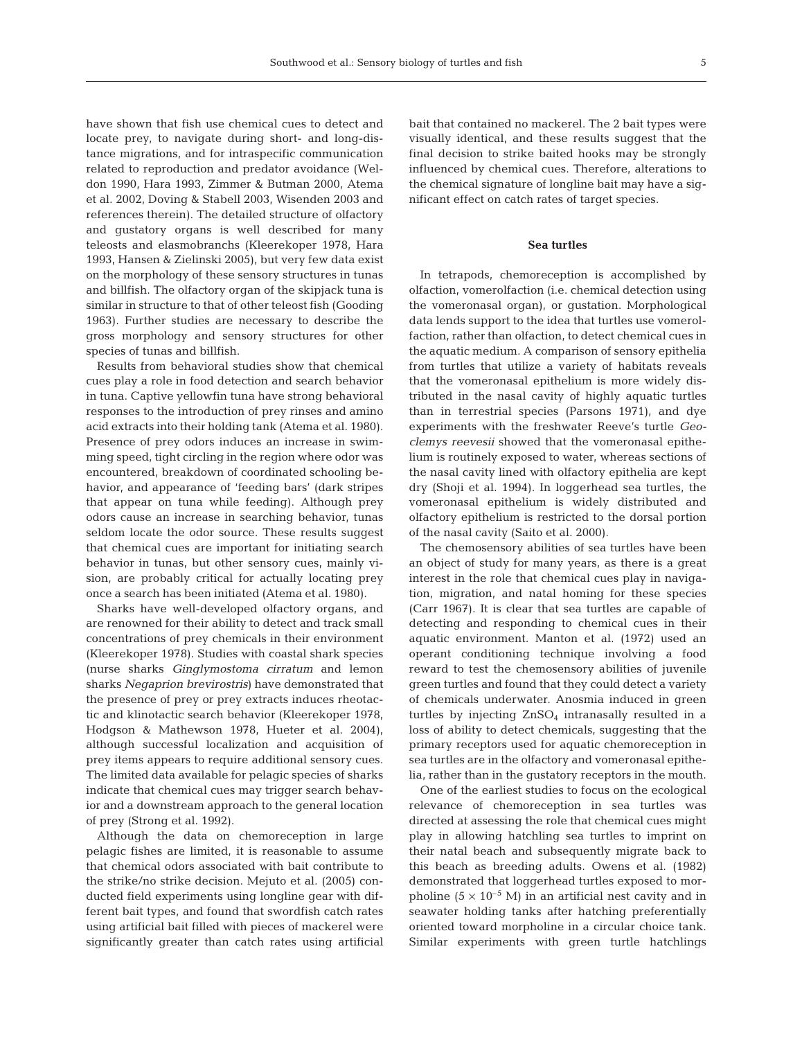have shown that fish use chemical cues to detect and locate prey, to navigate during short- and long-distance migrations, and for intraspecific communication related to reproduction and predator avoidance (Weldon 1990, Hara 1993, Zimmer & Butman 2000, Atema et al. 2002, Doving & Stabell 2003, Wisenden 2003 and references therein). The detailed structure of olfactory and gustatory organs is well described for many teleosts and elasmobranchs (Kleerekoper 1978, Hara 1993, Hansen & Zielinski 2005), but very few data exist on the morphology of these sensory structures in tunas and billfish. The olfactory organ of the skipjack tuna is similar in structure to that of other teleost fish (Gooding 1963). Further studies are necessary to describe the gross morphology and sensory structures for other species of tunas and billfish.

Results from behavioral studies show that chemical cues play a role in food detection and search behavior in tuna. Captive yellowfin tuna have strong behavioral responses to the introduction of prey rinses and amino acid extracts into their holding tank (Atema et al. 1980). Presence of prey odors induces an increase in swimming speed, tight circling in the region where odor was encountered, breakdown of coordinated schooling behavior, and appearance of 'feeding bars' (dark stripes that appear on tuna while feeding). Although prey odors cause an increase in searching behavior, tunas seldom locate the odor source. These results suggest that chemical cues are important for initiating search behavior in tunas, but other sensory cues, mainly vision, are probably critical for actually locating prey once a search has been initiated (Atema et al. 1980).

Sharks have well-developed olfactory organs, and are renowned for their ability to detect and track small concentrations of prey chemicals in their environment (Kleerekoper 1978). Studies with coastal shark species (nurse sharks *Ginglymostoma cirratum* and lemon sharks *Negaprion brevirostris*) have demonstrated that the presence of prey or prey extracts induces rheotactic and klinotactic search behavior (Kleerekoper 1978, Hodgson & Mathewson 1978, Hueter et al. 2004), although successful localization and acquisition of prey items appears to require additional sensory cues. The limited data available for pelagic species of sharks indicate that chemical cues may trigger search behavior and a downstream approach to the general location of prey (Strong et al. 1992).

Although the data on chemoreception in large pelagic fishes are limited, it is reasonable to assume that chemical odors associated with bait contribute to the strike/no strike decision. Mejuto et al. (2005) conducted field experiments using longline gear with different bait types, and found that swordfish catch rates using artificial bait filled with pieces of mackerel were significantly greater than catch rates using artificial bait that contained no mackerel. The 2 bait types were visually identical, and these results suggest that the final decision to strike baited hooks may be strongly influenced by chemical cues. Therefore, alterations to the chemical signature of longline bait may have a significant effect on catch rates of target species.

# **Sea turtles**

In tetrapods, chemoreception is accomplished by olfaction, vomerolfaction (i.e. chemical detection using the vomeronasal organ), or gustation. Morphological data lends support to the idea that turtles use vomerolfaction, rather than olfaction, to detect chemical cues in the aquatic medium. A comparison of sensory epithelia from turtles that utilize a variety of habitats reveals that the vomeronasal epithelium is more widely distributed in the nasal cavity of highly aquatic turtles than in terrestrial species (Parsons 1971), and dye experiments with the freshwater Reeve's turtle *Geoclemys reevesii* showed that the vomeronasal epithelium is routinely exposed to water, whereas sections of the nasal cavity lined with olfactory epithelia are kept dry (Shoji et al. 1994). In loggerhead sea turtles, the vomeronasal epithelium is widely distributed and olfactory epithelium is restricted to the dorsal portion of the nasal cavity (Saito et al. 2000).

The chemosensory abilities of sea turtles have been an object of study for many years, as there is a great interest in the role that chemical cues play in navigation, migration, and natal homing for these species (Carr 1967). It is clear that sea turtles are capable of detecting and responding to chemical cues in their aquatic environment. Manton et al. (1972) used an operant conditioning technique involving a food reward to test the chemosensory abilities of juvenile green turtles and found that they could detect a variety of chemicals underwater. Anosmia induced in green turtles by injecting  $ZnSO<sub>4</sub>$  intranasally resulted in a loss of ability to detect chemicals, suggesting that the primary receptors used for aquatic chemoreception in sea turtles are in the olfactory and vomeronasal epithelia, rather than in the gustatory receptors in the mouth.

One of the earliest studies to focus on the ecological relevance of chemoreception in sea turtles was directed at assessing the role that chemical cues might play in allowing hatchling sea turtles to imprint on their natal beach and subsequently migrate back to this beach as breeding adults. Owens et al. (1982) demonstrated that loggerhead turtles exposed to morpholine  $(5 \times 10^{-5} \text{ M})$  in an artificial nest cavity and in seawater holding tanks after hatching preferentially oriented toward morpholine in a circular choice tank. Similar experiments with green turtle hatchlings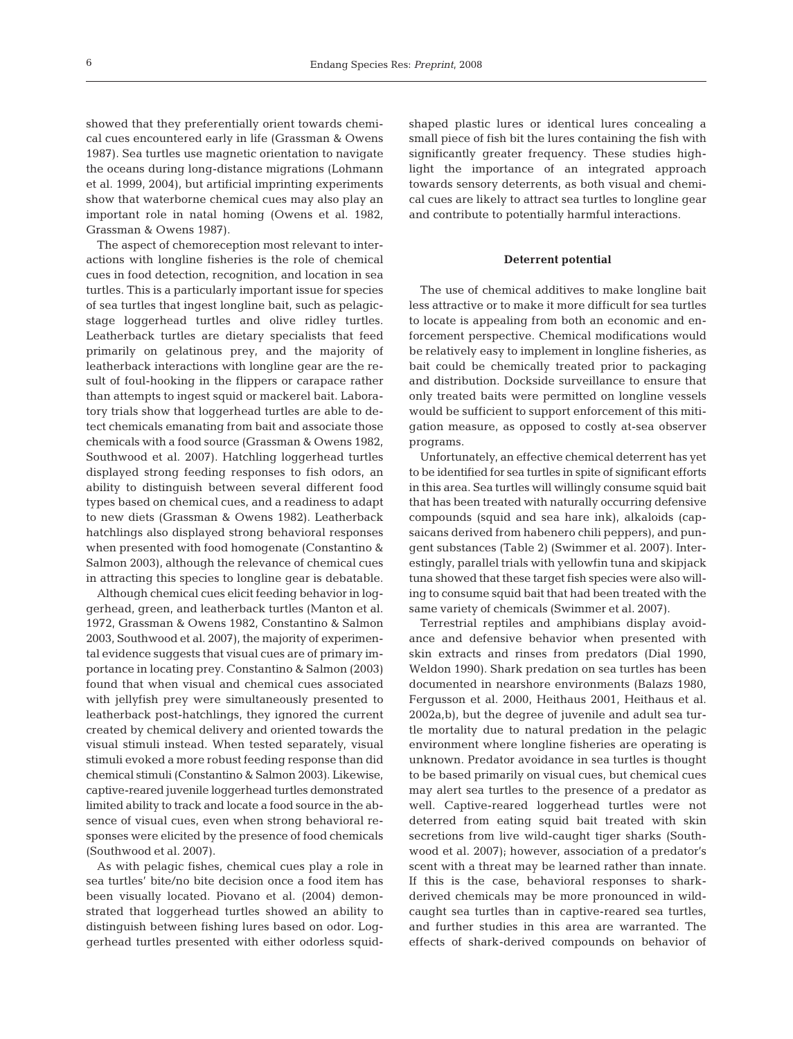showed that they preferentially orient towards chemical cues encountered early in life (Grassman & Owens 1987). Sea turtles use magnetic orientation to navigate the oceans during long-distance migrations (Lohmann et al. 1999, 2004), but artificial imprinting experiments show that waterborne chemical cues may also play an important role in natal homing (Owens et al. 1982, Grassman & Owens 1987).

The aspect of chemoreception most relevant to interactions with longline fisheries is the role of chemical cues in food detection, recognition, and location in sea turtles. This is a particularly important issue for species of sea turtles that ingest longline bait, such as pelagicstage loggerhead turtles and olive ridley turtles. Leatherback turtles are dietary specialists that feed primarily on gelatinous prey, and the majority of leatherback interactions with longline gear are the result of foul-hooking in the flippers or carapace rather than attempts to ingest squid or mackerel bait. Laboratory trials show that loggerhead turtles are able to detect chemicals emanating from bait and associate those chemicals with a food source (Grassman & Owens 1982, Southwood et al. 2007). Hatchling loggerhead turtles displayed strong feeding responses to fish odors, an ability to distinguish between several different food types based on chemical cues, and a readiness to adapt to new diets (Grassman & Owens 1982). Leatherback hatchlings also displayed strong behavioral responses when presented with food homogenate (Constantino & Salmon 2003), although the relevance of chemical cues in attracting this species to longline gear is debatable.

Although chemical cues elicit feeding behavior in loggerhead, green, and leatherback turtles (Manton et al. 1972, Grassman & Owens 1982, Constantino & Salmon 2003, Southwood et al. 2007), the majority of experimental evidence suggests that visual cues are of primary importance in locating prey. Constantino & Salmon (2003) found that when visual and chemical cues associated with jellyfish prey were simultaneously presented to leatherback post-hatchlings, they ignored the current created by chemical delivery and oriented towards the visual stimuli instead. When tested separately, visual stimuli evoked a more robust feeding response than did chemical stimuli (Constantino & Salmon 2003). Likewise, captive-reared juvenile loggerhead turtles demonstrated limited ability to track and locate a food source in the absence of visual cues, even when strong behavioral responses were elicited by the presence of food chemicals (Southwood et al. 2007).

As with pelagic fishes, chemical cues play a role in sea turtles' bite/no bite decision once a food item has been visually located. Piovano et al. (2004) demonstrated that loggerhead turtles showed an ability to distinguish between fishing lures based on odor. Loggerhead turtles presented with either odorless squidshaped plastic lures or identical lures concealing a small piece of fish bit the lures containing the fish with significantly greater frequency. These studies highlight the importance of an integrated approach towards sensory deterrents, as both visual and chemical cues are likely to attract sea turtles to longline gear and contribute to potentially harmful interactions.

### **Deterrent potential**

The use of chemical additives to make longline bait less attractive or to make it more difficult for sea turtles to locate is appealing from both an economic and enforcement perspective. Chemical modifications would be relatively easy to implement in longline fisheries, as bait could be chemically treated prior to packaging and distribution. Dockside surveillance to ensure that only treated baits were permitted on longline vessels would be sufficient to support enforcement of this mitigation measure, as opposed to costly at-sea observer programs.

Unfortunately, an effective chemical deterrent has yet to be identified for sea turtles in spite of significant efforts in this area. Sea turtles will willingly consume squid bait that has been treated with naturally occurring defensive compounds (squid and sea hare ink), alkaloids (capsaicans derived from habenero chili peppers), and pungent substances (Table 2) (Swimmer et al. 2007). Interestingly, parallel trials with yellowfin tuna and skipjack tuna showed that these target fish species were also willing to consume squid bait that had been treated with the same variety of chemicals (Swimmer et al. 2007).

Terrestrial reptiles and amphibians display avoidance and defensive behavior when presented with skin extracts and rinses from predators (Dial 1990, Weldon 1990). Shark predation on sea turtles has been documented in nearshore environments (Balazs 1980, Fergusson et al. 2000, Heithaus 2001, Heithaus et al. 2002a,b), but the degree of juvenile and adult sea turtle mortality due to natural predation in the pelagic environment where longline fisheries are operating is unknown. Predator avoidance in sea turtles is thought to be based primarily on visual cues, but chemical cues may alert sea turtles to the presence of a predator as well. Captive-reared loggerhead turtles were not deterred from eating squid bait treated with skin secretions from live wild-caught tiger sharks (Southwood et al. 2007); however, association of a predator's scent with a threat may be learned rather than innate. If this is the case, behavioral responses to sharkderived chemicals may be more pronounced in wildcaught sea turtles than in captive-reared sea turtles, and further studies in this area are warranted. The effects of shark-derived compounds on behavior of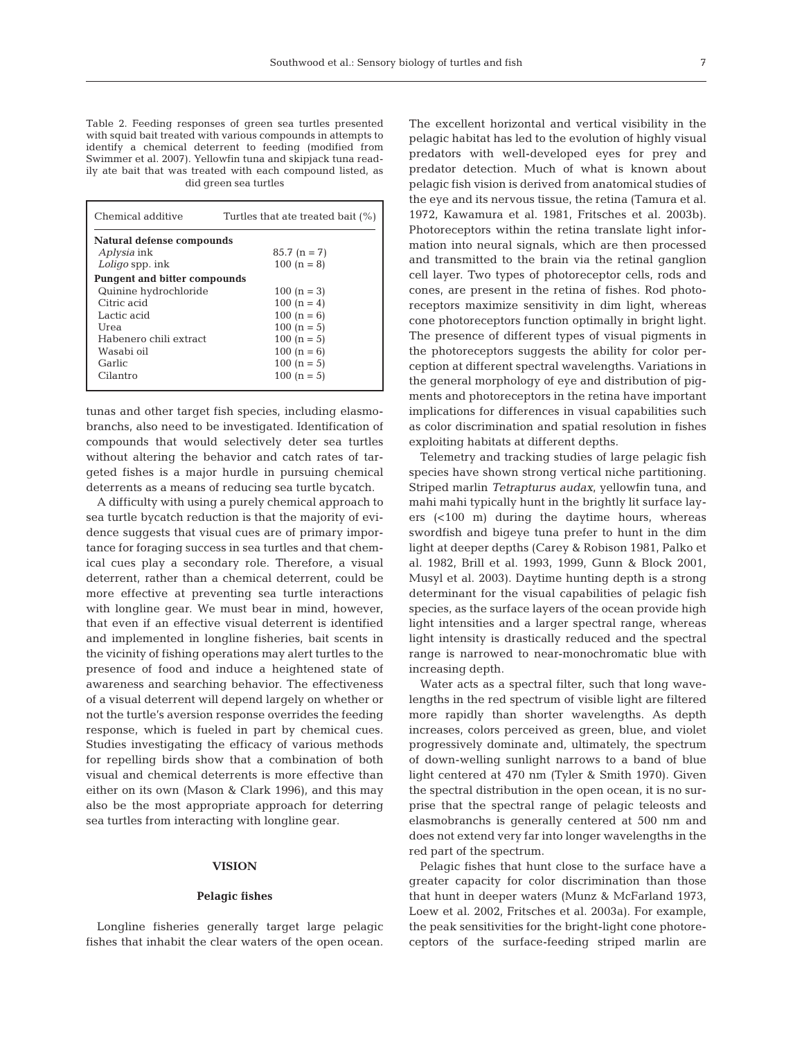Table 2. Feeding responses of green sea turtles presented with squid bait treated with various compounds in attempts to identify a chemical deterrent to feeding (modified from Swimmer et al. 2007). Yellowfin tuna and skipjack tuna readily ate bait that was treated with each compound listed, as did green sea turtles

| Chemical additive                   | Turtles that ate treated bait (%) |  |  |  |  |  |
|-------------------------------------|-----------------------------------|--|--|--|--|--|
| Natural defense compounds           |                                   |  |  |  |  |  |
| <i>Aplysia</i> ink                  | $85.7 (n = 7)$                    |  |  |  |  |  |
| Loligo spp. ink                     | $100(n = 8)$                      |  |  |  |  |  |
| <b>Pungent and bitter compounds</b> |                                   |  |  |  |  |  |
| Quinine hydrochloride               | $100 (n = 3)$                     |  |  |  |  |  |
| Citric acid                         | $100(n = 4)$                      |  |  |  |  |  |
| Lactic acid                         | $100(n = 6)$                      |  |  |  |  |  |
| Urea                                | $100(n = 5)$                      |  |  |  |  |  |
| Habenero chili extract              | $100(n = 5)$                      |  |  |  |  |  |
| Wasabi oil                          | $100(n = 6)$                      |  |  |  |  |  |
| Garlic                              | $100(n = 5)$                      |  |  |  |  |  |
| Cilantro                            | $100(n = 5)$                      |  |  |  |  |  |
|                                     |                                   |  |  |  |  |  |

tunas and other target fish species, including elasmobranchs, also need to be investigated. Identification of compounds that would selectively deter sea turtles without altering the behavior and catch rates of targeted fishes is a major hurdle in pursuing chemical deterrents as a means of reducing sea turtle bycatch.

A difficulty with using a purely chemical approach to sea turtle bycatch reduction is that the majority of evidence suggests that visual cues are of primary importance for foraging success in sea turtles and that chemical cues play a secondary role. Therefore, a visual deterrent, rather than a chemical deterrent, could be more effective at preventing sea turtle interactions with longline gear. We must bear in mind, however, that even if an effective visual deterrent is identified and implemented in longline fisheries, bait scents in the vicinity of fishing operations may alert turtles to the presence of food and induce a heightened state of awareness and searching behavior. The effectiveness of a visual deterrent will depend largely on whether or not the turtle's aversion response overrides the feeding response, which is fueled in part by chemical cues. Studies investigating the efficacy of various methods for repelling birds show that a combination of both visual and chemical deterrents is more effective than either on its own (Mason & Clark 1996), and this may also be the most appropriate approach for deterring sea turtles from interacting with longline gear.

# **VISION**

## **Pelagic fishes**

Longline fisheries generally target large pelagic fishes that inhabit the clear waters of the open ocean. The excellent horizontal and vertical visibility in the pelagic habitat has led to the evolution of highly visual predators with well-developed eyes for prey and predator detection. Much of what is known about pelagic fish vision is derived from anatomical studies of the eye and its nervous tissue, the retina (Tamura et al. 1972, Kawamura et al. 1981, Fritsches et al. 2003b). Photoreceptors within the retina translate light information into neural signals, which are then processed and transmitted to the brain via the retinal ganglion cell layer. Two types of photoreceptor cells, rods and cones, are present in the retina of fishes. Rod photoreceptors maximize sensitivity in dim light, whereas cone photoreceptors function optimally in bright light. The presence of different types of visual pigments in the photoreceptors suggests the ability for color perception at different spectral wavelengths. Variations in the general morphology of eye and distribution of pigments and photoreceptors in the retina have important implications for differences in visual capabilities such as color discrimination and spatial resolution in fishes exploiting habitats at different depths.

Telemetry and tracking studies of large pelagic fish species have shown strong vertical niche partitioning. Striped marlin *Tetrapturus audax*, yellowfin tuna, and mahi mahi typically hunt in the brightly lit surface layers (<100 m) during the daytime hours, whereas swordfish and bigeye tuna prefer to hunt in the dim light at deeper depths (Carey & Robison 1981, Palko et al. 1982, Brill et al. 1993, 1999, Gunn & Block 2001, Musyl et al. 2003). Daytime hunting depth is a strong determinant for the visual capabilities of pelagic fish species, as the surface layers of the ocean provide high light intensities and a larger spectral range, whereas light intensity is drastically reduced and the spectral range is narrowed to near-monochromatic blue with increasing depth.

Water acts as a spectral filter, such that long wavelengths in the red spectrum of visible light are filtered more rapidly than shorter wavelengths. As depth increases, colors perceived as green, blue, and violet progressively dominate and, ultimately, the spectrum of down-welling sunlight narrows to a band of blue light centered at 470 nm (Tyler & Smith 1970). Given the spectral distribution in the open ocean, it is no surprise that the spectral range of pelagic teleosts and elasmobranchs is generally centered at 500 nm and does not extend very far into longer wavelengths in the red part of the spectrum.

Pelagic fishes that hunt close to the surface have a greater capacity for color discrimination than those that hunt in deeper waters (Munz & McFarland 1973, Loew et al. 2002, Fritsches et al. 2003a). For example, the peak sensitivities for the bright-light cone photoreceptors of the surface-feeding striped marlin are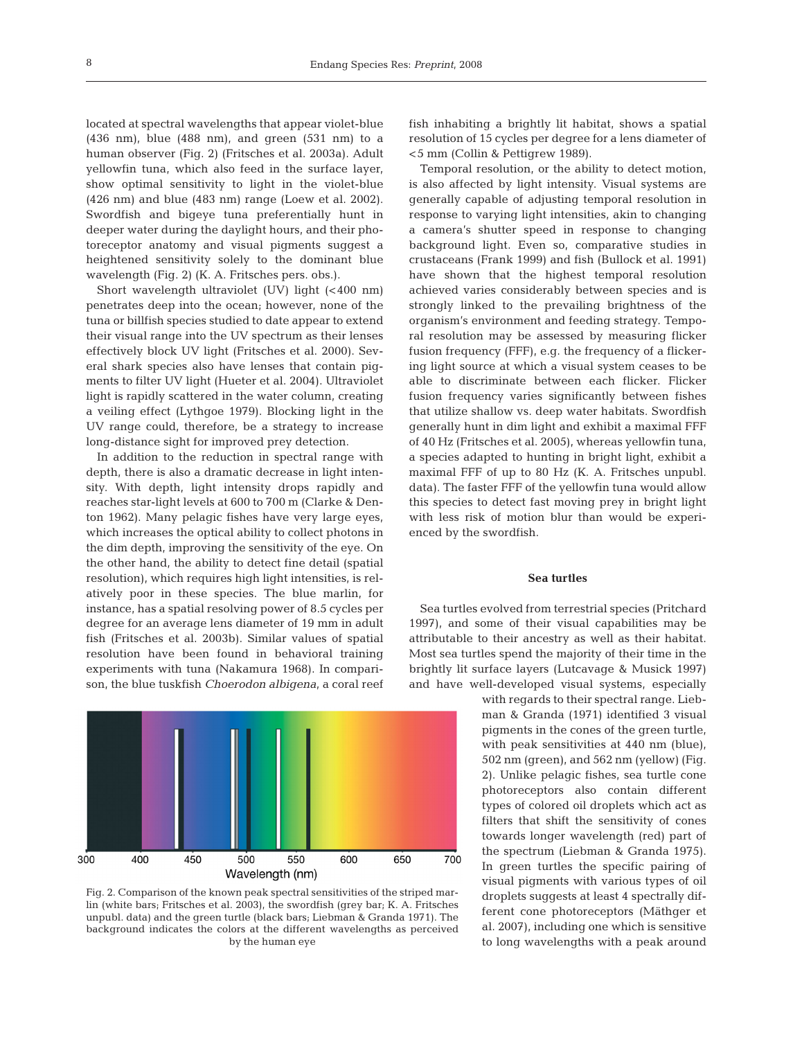located at spectral wavelengths that appear violet-blue (436 nm), blue (488 nm), and green (531 nm) to a human observer (Fig. 2) (Fritsches et al. 2003a). Adult yellowfin tuna, which also feed in the surface layer, show optimal sensitivity to light in the violet-blue (426 nm) and blue (483 nm) range (Loew et al. 2002). Swordfish and bigeye tuna preferentially hunt in deeper water during the daylight hours, and their photoreceptor anatomy and visual pigments suggest a heightened sensitivity solely to the dominant blue wavelength (Fig. 2) (K. A. Fritsches pers. obs.).

Short wavelength ultraviolet (UV) light (<400 nm) penetrates deep into the ocean; however, none of the tuna or billfish species studied to date appear to extend their visual range into the UV spectrum as their lenses effectively block UV light (Fritsches et al. 2000). Several shark species also have lenses that contain pigments to filter UV light (Hueter et al. 2004). Ultraviolet light is rapidly scattered in the water column, creating a veiling effect (Lythgoe 1979). Blocking light in the UV range could, therefore, be a strategy to increase long-distance sight for improved prey detection.

In addition to the reduction in spectral range with depth, there is also a dramatic decrease in light intensity. With depth, light intensity drops rapidly and reaches star-light levels at 600 to 700 m (Clarke & Denton 1962). Many pelagic fishes have very large eyes, which increases the optical ability to collect photons in the dim depth, improving the sensitivity of the eye. On the other hand, the ability to detect fine detail (spatial resolution), which requires high light intensities, is relatively poor in these species. The blue marlin, for instance, has a spatial resolving power of 8.5 cycles per degree for an average lens diameter of 19 mm in adult fish (Fritsches et al. 2003b). Similar values of spatial resolution have been found in behavioral training experiments with tuna (Nakamura 1968). In comparison, the blue tuskfish *Choerodon albigena*, a coral reef



Fig. 2. Comparison of the known peak spectral sensitivities of the striped marlin (white bars; Fritsches et al. 2003), the swordfish (grey bar; K. A. Fritsches unpubl. data) and the green turtle (black bars; Liebman & Granda 1971). The background indicates the colors at the different wavelengths as perceived by the human eye

fish inhabiting a brightly lit habitat, shows a spatial resolution of 15 cycles per degree for a lens diameter of <5 mm (Collin & Pettigrew 1989).

Temporal resolution, or the ability to detect motion, is also affected by light intensity. Visual systems are generally capable of adjusting temporal resolution in response to varying light intensities, akin to changing a camera's shutter speed in response to changing background light. Even so, comparative studies in crustaceans (Frank 1999) and fish (Bullock et al. 1991) have shown that the highest temporal resolution achieved varies considerably between species and is strongly linked to the prevailing brightness of the organism's environment and feeding strategy. Temporal resolution may be assessed by measuring flicker fusion frequency (FFF), e.g. the frequency of a flickering light source at which a visual system ceases to be able to discriminate between each flicker. Flicker fusion frequency varies significantly between fishes that utilize shallow vs. deep water habitats. Swordfish generally hunt in dim light and exhibit a maximal FFF of 40 Hz (Fritsches et al. 2005), whereas yellowfin tuna, a species adapted to hunting in bright light, exhibit a maximal FFF of up to 80 Hz (K. A. Fritsches unpubl. data). The faster FFF of the yellowfin tuna would allow this species to detect fast moving prey in bright light with less risk of motion blur than would be experienced by the swordfish.

# **Sea turtles**

Sea turtles evolved from terrestrial species (Pritchard 1997), and some of their visual capabilities may be attributable to their ancestry as well as their habitat. Most sea turtles spend the majority of their time in the brightly lit surface layers (Lutcavage & Musick 1997) and have well-developed visual systems, especially

> with regards to their spectral range. Liebman & Granda (1971) identified 3 visual pigments in the cones of the green turtle, with peak sensitivities at 440 nm (blue), 502 nm (green), and 562 nm (yellow) (Fig. 2). Unlike pelagic fishes, sea turtle cone photoreceptors also contain different types of colored oil droplets which act as filters that shift the sensitivity of cones towards longer wavelength (red) part of the spectrum (Liebman & Granda 1975). In green turtles the specific pairing of visual pigments with various types of oil droplets suggests at least 4 spectrally different cone photoreceptors (Mäthger et al. 2007), including one which is sensitive to long wavelengths with a peak around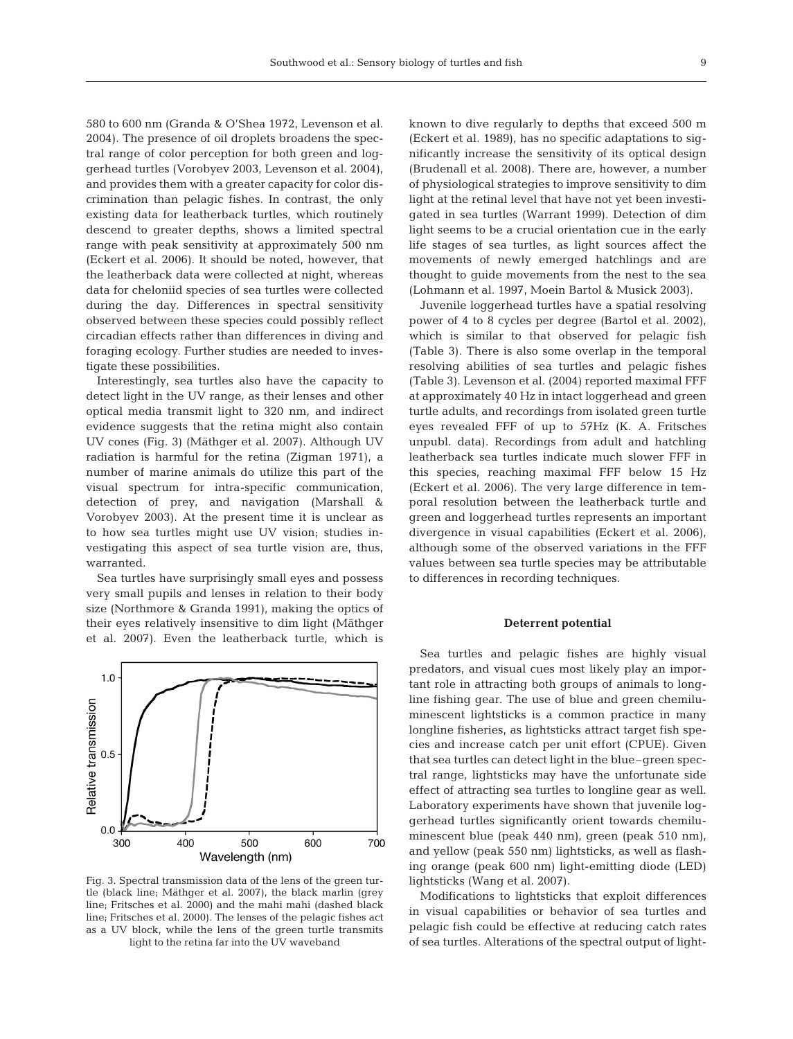580 to 600 nm (Granda & O'Shea 1972, Levenson et al. 2004). The presence of oil droplets broadens the spectral range of color perception for both green and loggerhead turtles (Vorobyev 2003, Levenson et al. 2004), and provides them with a greater capacity for color discrimination than pelagic fishes. In contrast, the only existing data for leatherback turtles, which routinely descend to greater depths, shows a limited spectral range with peak sensitivity at approximately 500 nm (Eckert et al. 2006). It should be noted, however, that the leatherback data were collected at night, whereas data for cheloniid species of sea turtles were collected during the day. Differences in spectral sensitivity observed between these species could possibly reflect circadian effects rather than differences in diving and foraging ecology. Further studies are needed to investigate these possibilities.

Interestingly, sea turtles also have the capacity to detect light in the UV range, as their lenses and other optical media transmit light to 320 nm, and indirect evidence suggests that the retina might also contain UV cones (Fig. 3) (Mäthger et al. 2007). Although UV radiation is harmful for the retina (Zigman 1971), a number of marine animals do utilize this part of the visual spectrum for intra-specific communication, detection of prey, and navigation (Marshall & Vorobyev 2003). At the present time it is unclear as to how sea turtles might use UV vision; studies investigating this aspect of sea turtle vision are, thus, warranted.

Sea turtles have surprisingly small eyes and possess very small pupils and lenses in relation to their body size (Northmore & Granda 1991), making the optics of their eyes relatively insensitive to dim light (Mäthger et al. 2007). Even the leatherback turtle, which is



Fig. 3. Spectral transmission data of the lens of the green turtle (black line; Mäthger et al. 2007), the black marlin (grey line; Fritsches et al. 2000) and the mahi mahi (dashed black line; Fritsches et al. 2000). The lenses of the pelagic fishes act as a UV block, while the lens of the green turtle transmits light to the retina far into the UV waveband

known to dive regularly to depths that exceed 500 m (Eckert et al. 1989), has no specific adaptations to significantly increase the sensitivity of its optical design (Brudenall et al. 2008). There are, however, a number of physiological strategies to improve sensitivity to dim light at the retinal level that have not yet been investigated in sea turtles (Warrant 1999). Detection of dim light seems to be a crucial orientation cue in the early life stages of sea turtles, as light sources affect the movements of newly emerged hatchlings and are thought to guide movements from the nest to the sea (Lohmann et al. 1997, Moein Bartol & Musick 2003).

Juvenile loggerhead turtles have a spatial resolving power of 4 to 8 cycles per degree (Bartol et al. 2002), which is similar to that observed for pelagic fish (Table 3). There is also some overlap in the temporal resolving abilities of sea turtles and pelagic fishes (Table 3). Levenson et al. (2004) reported maximal FFF at approximately 40 Hz in intact loggerhead and green turtle adults, and recordings from isolated green turtle eyes revealed FFF of up to 57Hz (K. A. Fritsches unpubl. data). Recordings from adult and hatchling leatherback sea turtles indicate much slower FFF in this species, reaching maximal FFF below 15 Hz (Eckert et al. 2006). The very large difference in temporal resolution between the leatherback turtle and green and loggerhead turtles represents an important divergence in visual capabilities (Eckert et al. 2006), although some of the observed variations in the FFF values between sea turtle species may be attributable to differences in recording techniques.

### **Deterrent potential**

Sea turtles and pelagic fishes are highly visual predators, and visual cues most likely play an important role in attracting both groups of animals to longline fishing gear. The use of blue and green chemiluminescent lightsticks is a common practice in many longline fisheries, as lightsticks attract target fish species and increase catch per unit effort (CPUE). Given that sea turtles can detect light in the blue–green spectral range, lightsticks may have the unfortunate side effect of attracting sea turtles to longline gear as well. Laboratory experiments have shown that juvenile loggerhead turtles significantly orient towards chemiluminescent blue (peak 440 nm), green (peak 510 nm), and yellow (peak 550 nm) lightsticks, as well as flashing orange (peak 600 nm) light-emitting diode (LED) lightsticks (Wang et al. 2007).

Modifications to lightsticks that exploit differences in visual capabilities or behavior of sea turtles and pelagic fish could be effective at reducing catch rates of sea turtles. Alterations of the spectral output of light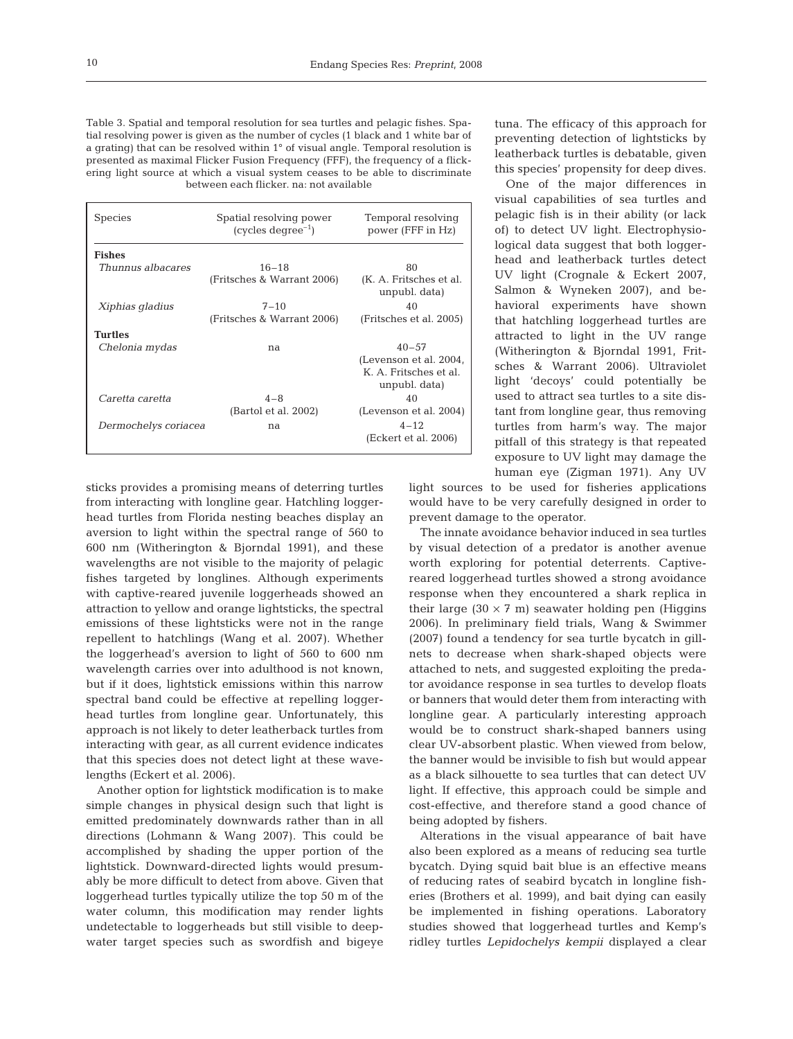Table 3. Spatial and temporal resolution for sea turtles and pelagic fishes. Spatial resolving power is given as the number of cycles (1 black and 1 white bar of a grating) that can be resolved within 1° of visual angle. Temporal resolution is presented as maximal Flicker Fusion Frequency (FFF), the frequency of a flickering light source at which a visual system ceases to be able to discriminate between each flicker. na: not available

| <b>Species</b>       | Spatial resolving power<br>$(cycles degree-1)$ | Temporal resolving<br>power (FFF in Hz)  |
|----------------------|------------------------------------------------|------------------------------------------|
| <b>Fishes</b>        |                                                |                                          |
| Thunnus albacares    | $16 - 18$                                      | 80                                       |
|                      | (Fritsches & Warrant 2006)                     | (K. A. Fritsches et al.<br>unpubl. data) |
| Xiphias gladius      | $7 - 10$                                       | 40                                       |
|                      | (Fritsches & Warrant 2006)                     | (Fritsches et al. 2005)                  |
| <b>Turtles</b>       |                                                |                                          |
| Chelonia mydas       | na                                             | $40 - 57$                                |
|                      |                                                | (Levenson et al. 2004,                   |
|                      |                                                | K. A. Fritsches et al.<br>unpubl. data)  |
| Caretta caretta      | $4 - 8$                                        | 40                                       |
|                      | (Bartol et al. 2002)                           | (Levenson et al. 2004)                   |
| Dermochelys coriacea | na                                             | $4 - 12$                                 |
|                      |                                                | (Eckert et al. 2006)                     |

sticks provides a promising means of deterring turtles from interacting with longline gear. Hatchling loggerhead turtles from Florida nesting beaches display an aversion to light within the spectral range of 560 to 600 nm (Witherington & Bjorndal 1991), and these wavelengths are not visible to the majority of pelagic fishes targeted by longlines. Although experiments with captive-reared juvenile loggerheads showed an attraction to yellow and orange lightsticks, the spectral emissions of these lightsticks were not in the range repellent to hatchlings (Wang et al. 2007). Whether the loggerhead's aversion to light of 560 to 600 nm wavelength carries over into adulthood is not known, but if it does, lightstick emissions within this narrow spectral band could be effective at repelling loggerhead turtles from longline gear. Unfortunately, this approach is not likely to deter leatherback turtles from interacting with gear, as all current evidence indicates that this species does not detect light at these wavelengths (Eckert et al. 2006).

Another option for lightstick modification is to make simple changes in physical design such that light is emitted predominately downwards rather than in all directions (Lohmann & Wang 2007). This could be accomplished by shading the upper portion of the lightstick. Downward-directed lights would presumably be more difficult to detect from above. Given that loggerhead turtles typically utilize the top 50 m of the water column, this modification may render lights undetectable to loggerheads but still visible to deepwater target species such as swordfish and bigeye

tuna. The efficacy of this approach for preventing detection of lightsticks by leatherback turtles is debatable, given this species' propensity for deep dives.

One of the major differences in visual capabilities of sea turtles and pelagic fish is in their ability (or lack of) to detect UV light. Electrophysiological data suggest that both loggerhead and leatherback turtles detect UV light (Crognale & Eckert 2007, Salmon & Wyneken 2007), and behavioral experiments have shown that hatchling loggerhead turtles are attracted to light in the UV range (Witherington & Bjorndal 1991, Fritsches & Warrant 2006). Ultraviolet light 'decoys' could potentially be used to attract sea turtles to a site distant from longline gear, thus removing turtles from harm's way. The major pitfall of this strategy is that repeated exposure to UV light may damage the human eye (Zigman 1971). Any UV

light sources to be used for fisheries applications would have to be very carefully designed in order to prevent damage to the operator.

The innate avoidance behavior induced in sea turtles by visual detection of a predator is another avenue worth exploring for potential deterrents. Captivereared loggerhead turtles showed a strong avoidance response when they encountered a shark replica in their large  $(30 \times 7 \text{ m})$  seawater holding pen (Higgins 2006). In preliminary field trials, Wang & Swimmer (2007) found a tendency for sea turtle bycatch in gillnets to decrease when shark-shaped objects were attached to nets, and suggested exploiting the predator avoidance response in sea turtles to develop floats or banners that would deter them from interacting with longline gear. A particularly interesting approach would be to construct shark-shaped banners using clear UV-absorbent plastic. When viewed from below, the banner would be invisible to fish but would appear as a black silhouette to sea turtles that can detect UV light. If effective, this approach could be simple and cost-effective, and therefore stand a good chance of being adopted by fishers.

Alterations in the visual appearance of bait have also been explored as a means of reducing sea turtle bycatch. Dying squid bait blue is an effective means of reducing rates of seabird bycatch in longline fisheries (Brothers et al. 1999), and bait dying can easily be implemented in fishing operations. Laboratory studies showed that loggerhead turtles and Kemp's ridley turtles *Lepidochelys kempii* displayed a clear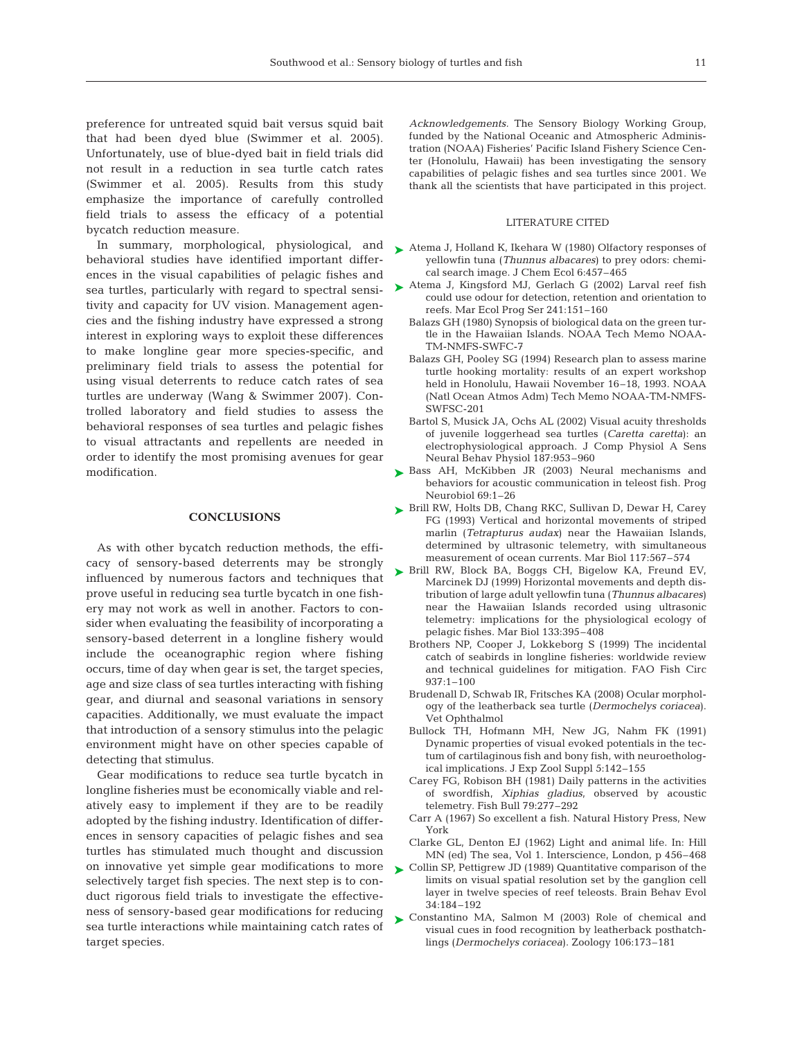preference for untreated squid bait versus squid bait that had been dyed blue (Swimmer et al. 2005). Unfortunately, use of blue-dyed bait in field trials did not result in a reduction in sea turtle catch rates (Swimmer et al. 2005). Results from this study emphasize the importance of carefully controlled field trials to assess the efficacy of a potential bycatch reduction measure.

In summary, morphological, physiological, and behavioral studies have identified important differences in the visual capabilities of pelagic fishes and sea turtles, particularly with regard to spectral sensitivity and capacity for UV vision. Management agencies and the fishing industry have expressed a strong interest in exploring ways to exploit these differences to make longline gear more species-specific, and preliminary field trials to assess the potential for using visual deterrents to reduce catch rates of sea turtles are underway (Wang & Swimmer 2007). Controlled laboratory and field studies to assess the behavioral responses of sea turtles and pelagic fishes to visual attractants and repellents are needed in order to identify the most promising avenues for gear modification.

# **CONCLUSIONS**

As with other bycatch reduction methods, the efficacy of sensory-based deterrents may be strongly influenced by numerous factors and techniques that prove useful in reducing sea turtle bycatch in one fishery may not work as well in another. Factors to consider when evaluating the feasibility of incorporating a sensory-based deterrent in a longline fishery would include the oceanographic region where fishing occurs, time of day when gear is set, the target species, age and size class of sea turtles interacting with fishing gear, and diurnal and seasonal variations in sensory capacities. Additionally, we must evaluate the impact that introduction of a sensory stimulus into the pelagic environment might have on other species capable of detecting that stimulus.

Gear modifications to reduce sea turtle bycatch in longline fisheries must be economically viable and relatively easy to implement if they are to be readily adopted by the fishing industry. Identification of differences in sensory capacities of pelagic fishes and sea turtles has stimulated much thought and discussion on innovative yet simple gear modifications to more selectively target fish species. The next step is to conduct rigorous field trials to investigate the effectiveness of sensory-based gear modifications for reducing sea turtle interactions while maintaining catch rates of target species.

*Acknowledgements.* The Sensory Biology Working Group, funded by the National Oceanic and Atmospheric Administration (NOAA) Fisheries' Pacific Island Fishery Science Center (Honolulu, Hawaii) has been investigating the sensory capabilities of pelagic fishes and sea turtles since 2001. We thank all the scientists that have participated in this project.

# LITERATURE CITED

- ► Atema J, Holland K, Ikehara W (1980) Olfactory responses of yellowfin tuna (*Thunnus albacares*) to prey odors: chemical search image. J Chem Ecol 6:457–465
- ▶ Atema J, Kingsford MJ, Gerlach G (2002) Larval reef fish could use odour for detection, retention and orientation to reefs. Mar Ecol Prog Ser 241:151–160
	- Balazs GH (1980) Synopsis of biological data on the green turtle in the Hawaiian Islands. NOAA Tech Memo NOAA-TM-NMFS-SWFC-7
	- Balazs GH, Pooley SG (1994) Research plan to assess marine turtle hooking mortality: results of an expert workshop held in Honolulu, Hawaii November 16–18, 1993. NOAA (Natl Ocean Atmos Adm) Tech Memo NOAA-TM-NMFS-SWFSC-201
	- Bartol S, Musick JA, Ochs AL (2002) Visual acuity thresholds of juvenile loggerhead sea turtles (*Caretta caretta*): an electrophysiological approach. J Comp Physiol A Sens Neural Behav Physiol 187:953–960
- ► Bass AH, McKibben JR (2003) Neural mechanisms and behaviors for acoustic communication in teleost fish. Prog Neurobiol 69:1–26
- ► Brill RW, Holts DB, Chang RKC, Sullivan D, Dewar H, Carey FG (1993) Vertical and horizontal movements of striped marlin (*Tetrapturus audax*) near the Hawaiian Islands, determined by ultrasonic telemetry, with simultaneous measurement of ocean currents. Mar Biol 117:567–574
- ▶ Brill RW, Block BA, Boggs CH, Bigelow KA, Freund EV, Marcinek DJ (1999) Horizontal movements and depth distribution of large adult yellowfin tuna (*Thunnus albacares*) near the Hawaiian Islands recorded using ultrasonic telemetry: implications for the physiological ecology of pelagic fishes. Mar Biol 133:395–408
	- Brothers NP, Cooper J, Lokkeborg S (1999) The incidental catch of seabirds in longline fisheries: worldwide review and technical guidelines for mitigation. FAO Fish Circ 937:1–100
	- Brudenall D, Schwab IR, Fritsches KA (2008) Ocular morphology of the leatherback sea turtle (*Dermochelys coriacea*). Vet Ophthalmol
	- Bullock TH, Hofmann MH, New JG, Nahm FK (1991) Dynamic properties of visual evoked potentials in the tectum of cartilaginous fish and bony fish, with neuroethological implications. J Exp Zool Suppl 5:142–155
	- Carey FG, Robison BH (1981) Daily patterns in the activities of swordfish, *Xiphias gladius*, observed by acoustic telemetry. Fish Bull 79:277–292
	- Carr A (1967) So excellent a fish. Natural History Press, New York
	- Clarke GL, Denton EJ (1962) Light and animal life. In: Hill MN (ed) The sea, Vol 1. Interscience, London, p 456–468
- ► Collin SP, Pettigrew JD (1989) Quantitative comparison of the limits on visual spatial resolution set by the ganglion cell layer in twelve species of reef teleosts. Brain Behav Evol 34:184–192
- ▶ Constantino MA, Salmon M (2003) Role of chemical and visual cues in food recognition by leatherback posthatchlings (*Dermochelys coriacea*). Zoology 106:173–181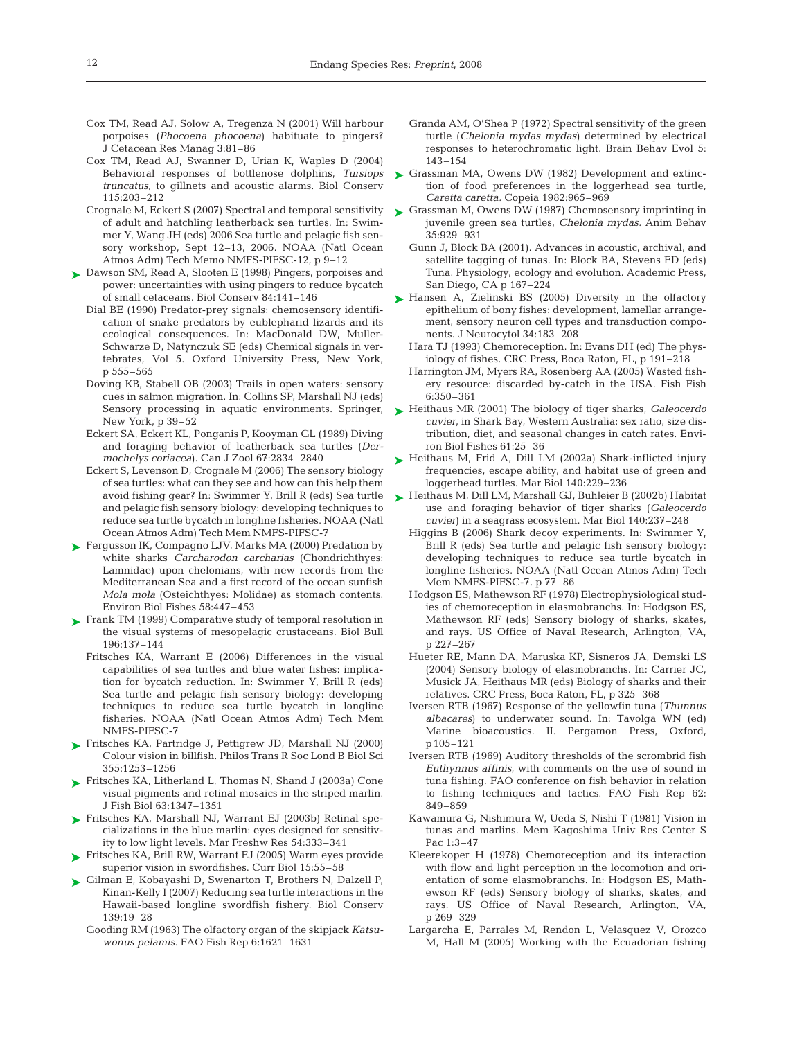- Cox TM, Read AJ, Solow A, Tregenza N (2001) Will harbour porpoises (*Phocoena phocoena*) habituate to pingers? J Cetacean Res Manag 3:81–86
- Cox TM, Read AJ, Swanner D, Urian K, Waples D (2004) Behavioral responses of bottlenose dolphins, *Tursiops truncatus*, to gillnets and acoustic alarms. Biol Conserv 115:203–212
- Crognale M, Eckert S (2007) Spectral and temporal sensitivity of adult and hatchling leatherback sea turtles. In: Swimmer Y, Wang JH (eds) 2006 Sea turtle and pelagic fish sensory workshop, Sept 12–13, 2006. NOAA (Natl Ocean Atmos Adm) Tech Memo NMFS-PIFSC-12, p 9–12
- ► Dawson SM, Read A, Slooten E (1998) Pingers, porpoises and power: uncertainties with using pingers to reduce bycatch of small cetaceans. Biol Conserv 84:141–146
	- Dial BE (1990) Predator-prey signals: chemosensory identification of snake predators by eublepharid lizards and its ecological consequences. In: MacDonald DW, Muller-Schwarze D, Natynczuk SE (eds) Chemical signals in vertebrates, Vol 5. Oxford University Press, New York, p 555–565
	- Doving KB, Stabell OB (2003) Trails in open waters: sensory cues in salmon migration. In: Collins SP, Marshall NJ (eds) New York, p 39–52
	- Eckert SA, Eckert KL, Ponganis P, Kooyman GL (1989) Diving and foraging behavior of leatherback sea turtles (*Dermochelys coriacea*). Can J Zool 67:2834–2840
	- Eckert S, Levenson D, Crognale M (2006) The sensory biology of sea turtles: what can they see and how can this help them avoid fishing gear? In: Swimmer Y, Brill R (eds) Sea turtle and pelagic fish sensory biology: developing techniques to reduce sea turtle bycatch in longline fisheries. NOAA (Natl Ocean Atmos Adm) Tech Mem NMFS-PIFSC-7
- ► Fergusson IK, Compagno LJV, Marks MA (2000) Predation by white sharks *Carcharodon carcharias* (Chondrichthyes: Lamnidae) upon chelonians, with new records from the Mediterranean Sea and a first record of the ocean sunfish *Mola mola* (Osteichthyes: Molidae) as stomach contents. Environ Biol Fishes 58:447–453
- ► Frank TM (1999) Comparative study of temporal resolution in the visual systems of mesopelagic crustaceans. Biol Bull 196:137–144
	- Fritsches KA, Warrant E (2006) Differences in the visual capabilities of sea turtles and blue water fishes: implication for bycatch reduction. In: Swimmer Y, Brill R (eds) Sea turtle and pelagic fish sensory biology: developing techniques to reduce sea turtle bycatch in longline fisheries. NOAA (Natl Ocean Atmos Adm) Tech Mem NMFS-PIFSC-7
- ► Fritsches KA, Partridge J, Pettigrew JD, Marshall NJ (2000) Colour vision in billfish. Philos Trans R Soc Lond B Biol Sci 355:1253–1256
- ► Fritsches KA, Litherland L, Thomas N, Shand J (2003a) Cone visual pigments and retinal mosaics in the striped marlin. J Fish Biol 63:1347–1351
- ► Fritsches KA, Marshall NJ, Warrant EJ (2003b) Retinal specializations in the blue marlin: eyes designed for sensitivity to low light levels. Mar Freshw Res 54:333–341
- ► Fritsches KA, Brill RW, Warrant EJ (2005) Warm eyes provide superior vision in swordfishes. Curr Biol 15:55–58
- ► Gilman E, Kobayashi D, Swenarton T, Brothers N, Dalzell P, Kinan-Kelly I (2007) Reducing sea turtle interactions in the Hawaii-based longline swordfish fishery. Biol Conserv 139:19–28
	- Gooding RM (1963) The olfactory organ of the skipjack *Katsuwonus pelamis.* FAO Fish Rep 6:1621–1631
- Granda AM, O'Shea P (1972) Spectral sensitivity of the green turtle (*Chelonia mydas mydas*) determined by electrical responses to heterochromatic light. Brain Behav Evol 5: 143–154
- ► Grassman MA, Owens DW (1982) Development and extinction of food preferences in the loggerhead sea turtle, *Caretta caretta.* Copeia 1982:965–969
- ► Grassman M, Owens DW (1987) Chemosensory imprinting in juvenile green sea turtles, *Chelonia mydas.* Anim Behav 35:929–931
	- Gunn J, Block BA (2001). Advances in acoustic, archival, and satellite tagging of tunas. In: Block BA, Stevens ED (eds) Tuna. Physiology, ecology and evolution. Academic Press, San Diego, CA p 167–224
- ► Hansen A, Zielinski BS (2005) Diversity in the olfactory epithelium of bony fishes: development, lamellar arrangement, sensory neuron cell types and transduction components. J Neurocytol 34:183–208
	- Hara TJ (1993) Chemoreception. In: Evans DH (ed) The physiology of fishes. CRC Press, Boca Raton, FL, p 191–218
	- Harrington JM, Myers RA, Rosenberg AA (2005) Wasted fishery resource: discarded by-catch in the USA. Fish Fish 6:350–361
- Sensory processing in aquatic environments. Springer, Heithaus MR (2001) The biology of tiger sharks, *Galeocerdo* ➤ *cuvier*, in Shark Bay, Western Australia: sex ratio, size distribution, diet, and seasonal changes in catch rates. Environ Biol Fishes 61:25–36
	- ▶ Heithaus M, Frid A, Dill LM (2002a) Shark-inflicted injury frequencies, escape ability, and habitat use of green and loggerhead turtles. Mar Biol 140:229–236
	- ► Heithaus M, Dill LM, Marshall GJ, Buhleier B (2002b) Habitat use and foraging behavior of tiger sharks (*Galeocerdo cuvier*) in a seagrass ecosystem. Mar Biol 140:237–248
		- Higgins B (2006) Shark decoy experiments. In: Swimmer Y, Brill R (eds) Sea turtle and pelagic fish sensory biology: developing techniques to reduce sea turtle bycatch in longline fisheries. NOAA (Natl Ocean Atmos Adm) Tech Mem NMFS-PIFSC-7, p 77–86
		- Hodgson ES, Mathewson RF (1978) Electrophysiological studies of chemoreception in elasmobranchs. In: Hodgson ES, Mathewson RF (eds) Sensory biology of sharks, skates, and rays. US Office of Naval Research, Arlington, VA, p 227–267
		- Hueter RE, Mann DA, Maruska KP, Sisneros JA, Demski LS (2004) Sensory biology of elasmobranchs. In: Carrier JC, Musick JA, Heithaus MR (eds) Biology of sharks and their relatives. CRC Press, Boca Raton, FL, p 325–368
		- Iversen RTB (1967) Response of the yellowfin tuna (*Thunnus albacares*) to underwater sound. In: Tavolga WN (ed) Marine bioacoustics. II. Pergamon Press, Oxford, p105–121
		- Iversen RTB (1969) Auditory thresholds of the scrombrid fish *Euthynnus affinis*, with comments on the use of sound in tuna fishing. FAO conference on fish behavior in relation to fishing techniques and tactics. FAO Fish Rep 62: 849–859
		- Kawamura G, Nishimura W, Ueda S, Nishi T (1981) Vision in tunas and marlins. Mem Kagoshima Univ Res Center S Pac 1:3–47
		- Kleerekoper H (1978) Chemoreception and its interaction with flow and light perception in the locomotion and orientation of some elasmobranchs. In: Hodgson ES, Mathewson RF (eds) Sensory biology of sharks, skates, and rays. US Office of Naval Research, Arlington, VA, p 269–329
		- Largarcha E, Parrales M, Rendon L, Velasquez V, Orozco M, Hall M (2005) Working with the Ecuadorian fishing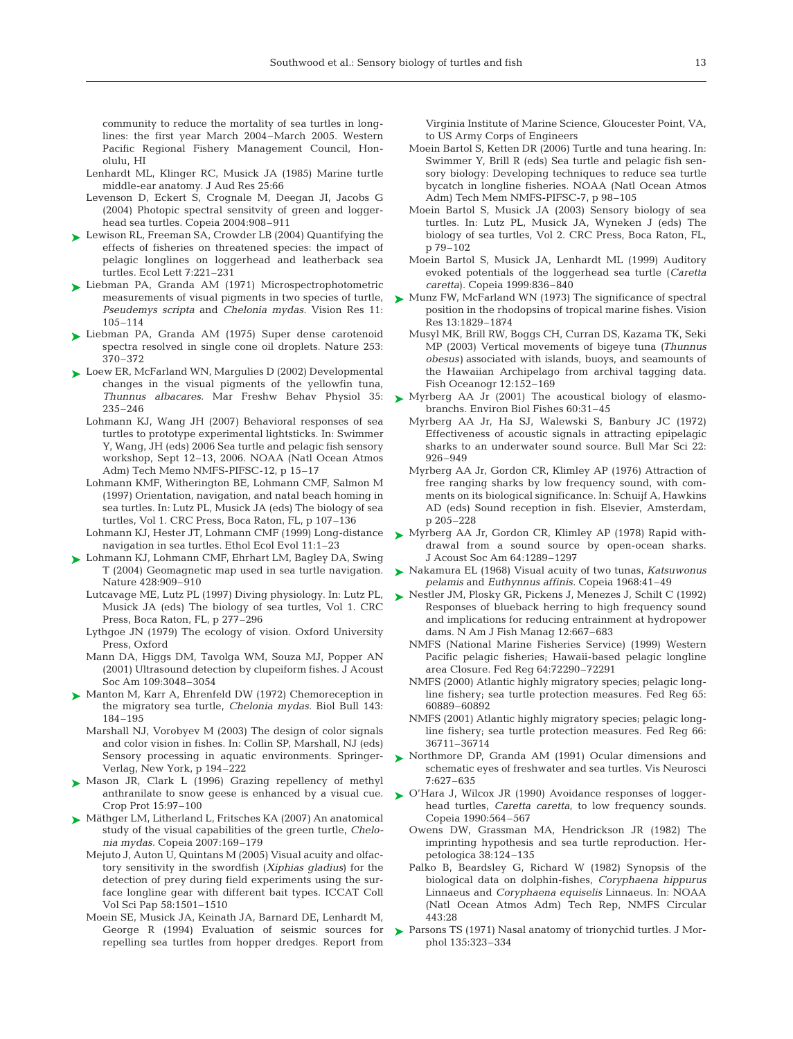community to reduce the mortality of sea turtles in longlines: the first year March 2004–March 2005. Western Pacific Regional Fishery Management Council, Honolulu, HI

- Lenhardt ML, Klinger RC, Musick JA (1985) Marine turtle middle-ear anatomy. J Aud Res 25:66
- Levenson D, Eckert S, Crognale M, Deegan JI, Jacobs G (2004) Photopic spectral sensitvity of green and loggerhead sea turtles. Copeia 2004:908–911
- ► Lewison RL, Freeman SA, Crowder LB (2004) Quantifying the effects of fisheries on threatened species: the impact of pelagic longlines on loggerhead and leatherback sea turtles. Ecol Lett 7:221–231
- ► Liebman PA, Granda AM (1971) Microspectrophotometric measurements of visual pigments in two species of turtle, *Pseudemys scripta* and *Chelonia mydas.* Vision Res 11: 105–114
- ► Liebman PA, Granda AM (1975) Super dense carotenoid spectra resolved in single cone oil droplets. Nature 253: 370–372
- ► Loew ER, McFarland WN, Margulies D (2002) Developmental changes in the visual pigments of the yellowfin tuna, *Thunnus albacares.* Mar Freshw Behav Physiol 35: 235–246
	- Lohmann KJ, Wang JH (2007) Behavioral responses of sea turtles to prototype experimental lightsticks. In: Swimmer Y, Wang, JH (eds) 2006 Sea turtle and pelagic fish sensory workshop, Sept 12–13, 2006. NOAA (Natl Ocean Atmos Adm) Tech Memo NMFS-PIFSC-12, p 15–17
	- Lohmann KMF, Witherington BE, Lohmann CMF, Salmon M (1997) Orientation, navigation, and natal beach homing in sea turtles. In: Lutz PL, Musick JA (eds) The biology of sea turtles, Vol 1. CRC Press, Boca Raton, FL, p 107–136
	- Lohmann KJ, Hester JT, Lohmann CMF (1999) Long-distance navigation in sea turtles. Ethol Ecol Evol 11:1–23
- ► Lohmann KJ, Lohmann CMF, Ehrhart LM, Bagley DA, Swing T (2004) Geomagnetic map used in sea turtle navigation. Nature 428:909–910
	- Lutcavage ME, Lutz PL (1997) Diving physiology. In: Lutz PL, Musick JA (eds) The biology of sea turtles, Vol 1. CRC Press, Boca Raton, FL, p 277–296
	- Lythgoe JN (1979) The ecology of vision. Oxford University Press, Oxford
	- Mann DA, Higgs DM, Tavolga WM, Souza MJ, Popper AN (2001) Ultrasound detection by clupeiform fishes. J Acoust Soc Am 109:3048–3054
- ► Manton M, Karr A, Ehrenfeld DW (1972) Chemoreception in the migratory sea turtle, *Chelonia mydas.* Biol Bull 143: 184–195
	- Marshall NJ, Vorobyev M (2003) The design of color signals and color vision in fishes. In: Collin SP, Marshall, NJ (eds) Sensory processing in aquatic environments. Springer-Verlag, New York, p 194–222
- ▶ Mason JR, Clark L (1996) Grazing repellency of methyl anthranilate to snow geese is enhanced by a visual cue. Crop Prot 15:97–100
- ► Mäthger LM, Litherland L, Fritsches KA (2007) An anatomical study of the visual capabilities of the green turtle, *Chelonia mydas.* Copeia 2007:169–179
	- Mejuto J, Auton U, Quintans M (2005) Visual acuity and olfactory sensitivity in the swordfish (*Xiphias gladius*) for the detection of prey during field experiments using the surface longline gear with different bait types. ICCAT Coll Vol Sci Pap 58:1501–1510
	- Moein SE, Musick JA, Keinath JA, Barnard DE, Lenhardt M, George R (1994) Evaluation of seismic sources for repelling sea turtles from hopper dredges. Report from

Virginia Institute of Marine Science, Gloucester Point, VA, to US Army Corps of Engineers

- Moein Bartol S, Ketten DR (2006) Turtle and tuna hearing. In: Swimmer Y, Brill R (eds) Sea turtle and pelagic fish sensory biology: Developing techniques to reduce sea turtle bycatch in longline fisheries. NOAA (Natl Ocean Atmos Adm) Tech Mem NMFS-PIFSC-7, p 98–105
- Moein Bartol S, Musick JA (2003) Sensory biology of sea turtles. In: Lutz PL, Musick JA, Wyneken J (eds) The biology of sea turtles, Vol 2. CRC Press, Boca Raton, FL, p 79–102
- Moein Bartol S, Musick JA, Lenhardt ML (1999) Auditory evoked potentials of the loggerhead sea turtle (*Caretta caretta*). Copeia 1999:836–840
- Munz FW, McFarland WN (1973) The significance of spectral position in the rhodopsins of tropical marine fishes. Vision Res 13:1829–1874 ➤
	- Musyl MK, Brill RW, Boggs CH, Curran DS, Kazama TK, Seki MP (2003) Vertical movements of bigeye tuna *(Thunnus obesus)* associated with islands, buoys, and seamounts of the Hawaiian Archipelago from archival tagging data. Fish Oceanogr 12:152–169
- ► Myrberg AA Jr (2001) The acoustical biology of elasmobranchs. Environ Biol Fishes 60:31–45
	- Myrberg AA Jr, Ha SJ, Walewski S, Banbury JC (1972) Effectiveness of acoustic signals in attracting epipelagic sharks to an underwater sound source. Bull Mar Sci 22: 926–949
	- Myrberg AA Jr, Gordon CR, Klimley AP (1976) Attraction of free ranging sharks by low frequency sound, with comments on its biological significance. In: Schuijf A, Hawkins AD (eds) Sound reception in fish. Elsevier, Amsterdam, p 205–228
- ▶ Myrberg AA Jr, Gordon CR, Klimley AP (1978) Rapid withdrawal from a sound source by open-ocean sharks. J Acoust Soc Am 64:1289–1297
- Nakamura EL (1968) Visual acuity of two tunas, *Katsuwonus* ➤ *pelamis* and *Euthynnus affinis.* Copeia 1968:41–49
- ► Nestler JM, Plosky GR, Pickens J, Menezes J, Schilt C (1992) Responses of blueback herring to high frequency sound and implications for reducing entrainment at hydropower dams. N Am J Fish Manag 12:667–683
	- NMFS (National Marine Fisheries Service) (1999) Western Pacific pelagic fisheries; Hawaii-based pelagic longline area Closure. Fed Reg 64:72290–72291
	- NMFS (2000) Atlantic highly migratory species; pelagic longline fishery; sea turtle protection measures. Fed Reg 65: 60889–60892
	- NMFS (2001) Atlantic highly migratory species; pelagic longline fishery; sea turtle protection measures. Fed Reg 66: 36711–36714
- ▶ Northmore DP, Granda AM (1991) Ocular dimensions and schematic eyes of freshwater and sea turtles. Vis Neurosci 7:627–635
- ► O'Hara J, Wilcox JR (1990) Avoidance responses of loggerhead turtles, *Caretta caretta*, to low frequency sounds. Copeia 1990:564–567
	- Owens DW, Grassman MA, Hendrickson JR (1982) The imprinting hypothesis and sea turtle reproduction. Herpetologica 38:124–135
	- Palko B, Beardsley G, Richard W (1982) Synopsis of the biological data on dolphin-fishes, *Coryphaena hippurus* Linnaeus and *Coryphaena equiselis* Linnaeus. In: NOAA (Natl Ocean Atmos Adm) Tech Rep, NMFS Circular 443:28
- ▶ Parsons TS (1971) Nasal anatomy of trionychid turtles. J Morphol 135:323–334